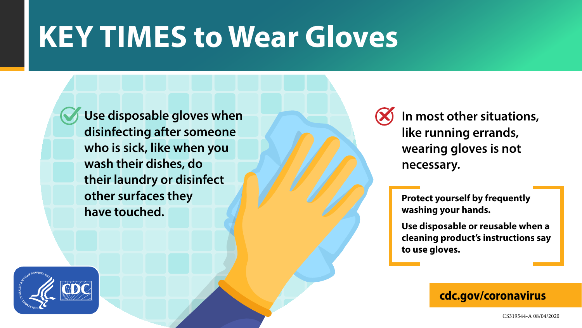### **cdc.gov/coronavirus**

CS319544-A 08/04/2020

# **KEY TIMES to Wear Gloves**

**Use disposable gloves when disinfecting after someone who is sick, like when you wash their dishes, do their laundry or disinfect other surfaces they have touched.**

### **In most other situations, like running errands, wearing gloves is not**

**necessary.** 



**Protect yourself by frequently washing your hands.**

**Use disposable or reusable when a cleaning product's instructions say to use gloves.**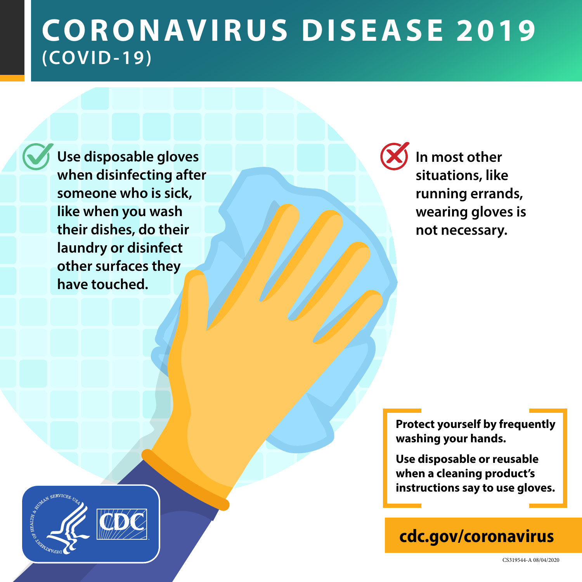## **CO R O N AV I R U S D I S E A S E 2019 (COVID-19)**

**cdc.gov/coronavirus**

CS319544-A 08/04/2020

**In most other situations, like running errands, wearing gloves is not necessary.** 

**Protect yourself by frequently washing your hands.**



**Use disposable or reusable when a cleaning product's instructions say to use gloves.**

**Use disposable gloves when disinfecting after someone who is sick, like when you wash their dishes, do their laundry or disinfect other surfaces they have touched.**